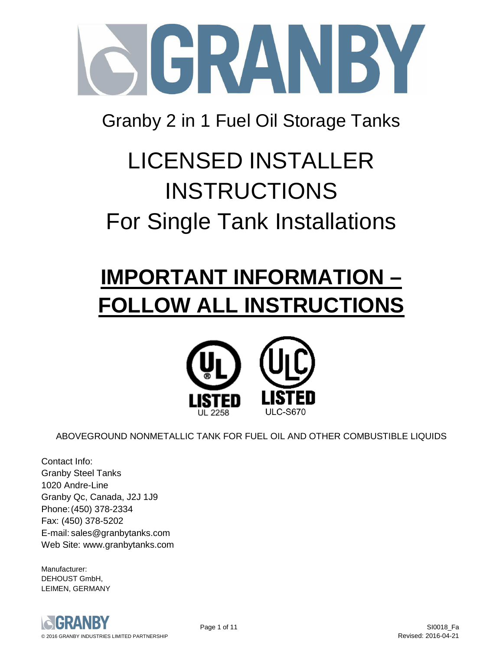

Granby 2 in 1 Fuel Oil Storage Tanks

# LICENSED INSTALLER INSTRUCTIONS For Single Tank Installations

# **IMPORTANT INFORMATION – FOLLOW ALL INSTRUCTIONS**



ABOVEGROUND NONMETALLIC TANK FOR FUEL OIL AND OTHER COMBUSTIBLE LIQUIDS

Contact Info: Granby Steel Tanks 1020 Andre-Line Granby Qc, Canada, J2J 1J9 Phone: (450) 378-2334 Fax: (450) 378-5202 E-mail: sales@granbytanks.com Web Site: www.granbytanks.com

Manufacturer: DEHOUST GmbH, LEIMEN, GERMANY

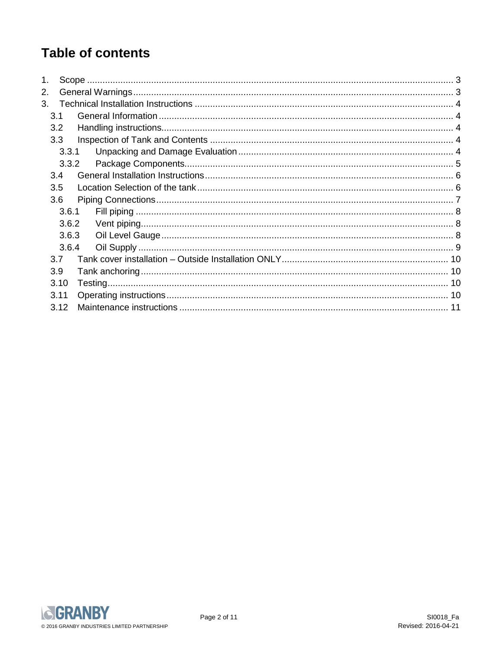# **Table of contents**

| 2.    |  |
|-------|--|
| 3.    |  |
| 3.1   |  |
| 3.2   |  |
| 3.3   |  |
| 3.3.1 |  |
| 3.3.2 |  |
| 3.4   |  |
| 3.5   |  |
| 3.6   |  |
| 3.6.1 |  |
| 3.6.2 |  |
| 3.6.3 |  |
| 3.6.4 |  |
| 3.7   |  |
| 3.9   |  |
| 3.10  |  |
| 3.11  |  |
| 3.12  |  |

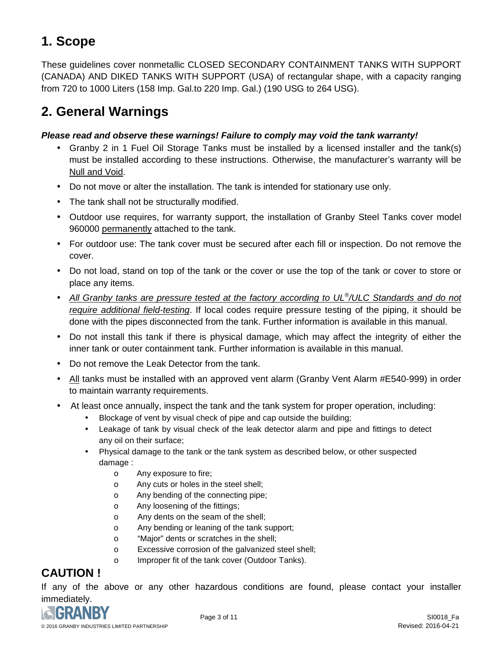## **1. Scope**

These guidelines cover nonmetallic CLOSED SECONDARY CONTAINMENT TANKS WITH SUPPORT (CANADA) AND DIKED TANKS WITH SUPPORT (USA) of rectangular shape, with a capacity ranging from 720 to 1000 Liters (158 Imp. Gal.to 220 Imp. Gal.) (190 USG to 264 USG).

# **2. General Warnings**

#### **Please read and observe these warnings! Failure to comply may void the tank warranty!**

- Granby 2 in 1 Fuel Oil Storage Tanks must be installed by a licensed installer and the tank(s) must be installed according to these instructions. Otherwise, the manufacturer's warranty will be Null and Void.
- Do not move or alter the installation. The tank is intended for stationary use only.
- The tank shall not be structurally modified.
- Outdoor use requires, for warranty support, the installation of Granby Steel Tanks cover model 960000 permanently attached to the tank.
- For outdoor use: The tank cover must be secured after each fill or inspection. Do not remove the cover.
- Do not load, stand on top of the tank or the cover or use the top of the tank or cover to store or place any items.
- All Granby tanks are pressure tested at the factory according to UL<sup>®</sup>/ULC Standards and do not require additional field-testing. If local codes require pressure testing of the piping, it should be done with the pipes disconnected from the tank. Further information is available in this manual.
- Do not install this tank if there is physical damage, which may affect the integrity of either the inner tank or outer containment tank. Further information is available in this manual.
- Do not remove the Leak Detector from the tank.
- All tanks must be installed with an approved vent alarm (Granby Vent Alarm #E540-999) in order to maintain warranty requirements.
- At least once annually, inspect the tank and the tank system for proper operation, including:
	- Blockage of vent by visual check of pipe and cap outside the building;
	- Leakage of tank by visual check of the leak detector alarm and pipe and fittings to detect any oil on their surface;
	- Physical damage to the tank or the tank system as described below, or other suspected damage :
		- o Any exposure to fire;
		- o Any cuts or holes in the steel shell;
		- o Any bending of the connecting pipe;
		- o Any loosening of the fittings;
		- o Any dents on the seam of the shell;
		- o Any bending or leaning of the tank support;
		- o "Major" dents or scratches in the shell;
		- o Excessive corrosion of the galvanized steel shell;
		- o Improper fit of the tank cover (Outdoor Tanks).

## **CAUTION !**

If any of the above or any other hazardous conditions are found, please contact your installer immediately.

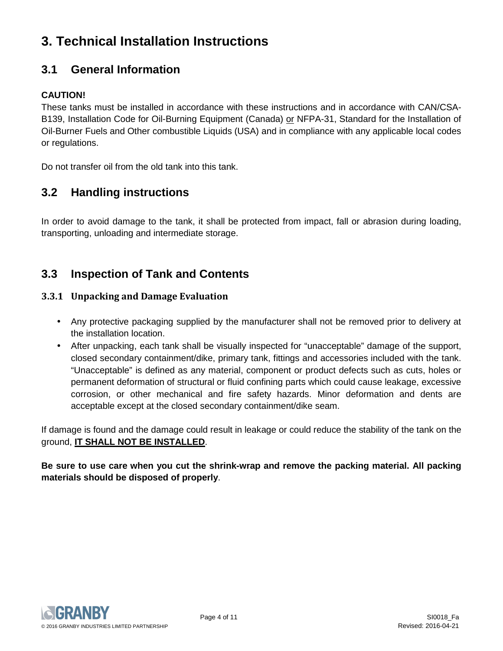# **3. Technical Installation Instructions**

## **3.1 General Information**

#### **CAUTION!**

These tanks must be installed in accordance with these instructions and in accordance with CAN/CSA-B139, Installation Code for Oil-Burning Equipment (Canada) or NFPA-31, Standard for the Installation of Oil-Burner Fuels and Other combustible Liquids (USA) and in compliance with any applicable local codes or regulations.

Do not transfer oil from the old tank into this tank.

#### **3.2 Handling instructions**

In order to avoid damage to the tank, it shall be protected from impact, fall or abrasion during loading, transporting, unloading and intermediate storage.

#### **3.3 Inspection of Tank and Contents**

#### **3.3.1 Unpacking and Damage Evaluation**

- Any protective packaging supplied by the manufacturer shall not be removed prior to delivery at the installation location.
- After unpacking, each tank shall be visually inspected for "unacceptable" damage of the support, closed secondary containment/dike, primary tank, fittings and accessories included with the tank. "Unacceptable" is defined as any material, component or product defects such as cuts, holes or permanent deformation of structural or fluid confining parts which could cause leakage, excessive corrosion, or other mechanical and fire safety hazards. Minor deformation and dents are acceptable except at the closed secondary containment/dike seam.

If damage is found and the damage could result in leakage or could reduce the stability of the tank on the ground, **IT SHALL NOT BE INSTALLED**.

**Be sure to use care when you cut the shrink-wrap and remove the packing material. All packing materials should be disposed of properly**.

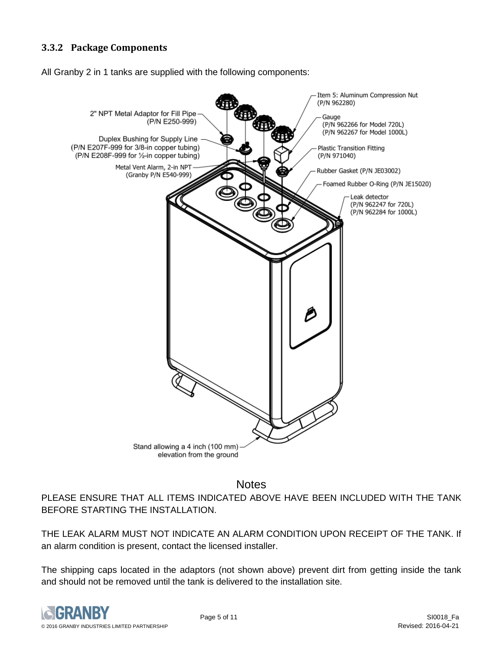#### **3.3.2 Package Components**

All Granby 2 in 1 tanks are supplied with the following components:



**Notes** 

PLEASE ENSURE THAT ALL ITEMS INDICATED ABOVE HAVE BEEN INCLUDED WITH THE TANK BEFORE STARTING THE INSTALLATION.

THE LEAK ALARM MUST NOT INDICATE AN ALARM CONDITION UPON RECEIPT OF THE TANK. If an alarm condition is present, contact the licensed installer.

The shipping caps located in the adaptors (not shown above) prevent dirt from getting inside the tank and should not be removed until the tank is delivered to the installation site.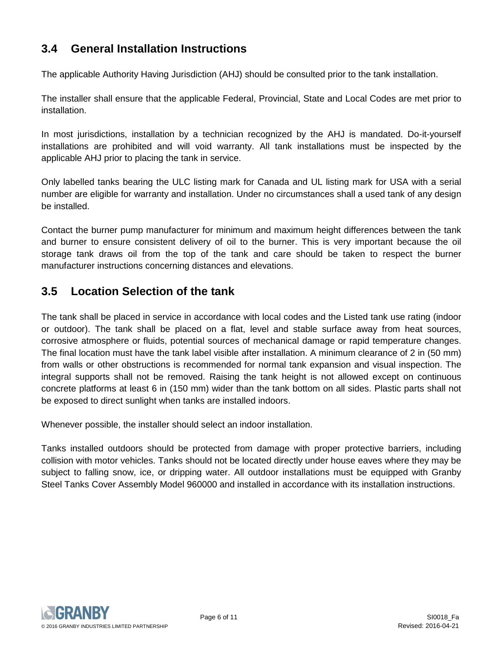## **3.4 General Installation Instructions**

The applicable Authority Having Jurisdiction (AHJ) should be consulted prior to the tank installation.

The installer shall ensure that the applicable Federal, Provincial, State and Local Codes are met prior to installation.

In most jurisdictions, installation by a technician recognized by the AHJ is mandated. Do-it-yourself installations are prohibited and will void warranty. All tank installations must be inspected by the applicable AHJ prior to placing the tank in service.

Only labelled tanks bearing the ULC listing mark for Canada and UL listing mark for USA with a serial number are eligible for warranty and installation. Under no circumstances shall a used tank of any design be installed.

Contact the burner pump manufacturer for minimum and maximum height differences between the tank and burner to ensure consistent delivery of oil to the burner. This is very important because the oil storage tank draws oil from the top of the tank and care should be taken to respect the burner manufacturer instructions concerning distances and elevations.

## **3.5 Location Selection of the tank**

The tank shall be placed in service in accordance with local codes and the Listed tank use rating (indoor or outdoor). The tank shall be placed on a flat, level and stable surface away from heat sources, corrosive atmosphere or fluids, potential sources of mechanical damage or rapid temperature changes. The final location must have the tank label visible after installation. A minimum clearance of 2 in (50 mm) from walls or other obstructions is recommended for normal tank expansion and visual inspection. The integral supports shall not be removed. Raising the tank height is not allowed except on continuous concrete platforms at least 6 in (150 mm) wider than the tank bottom on all sides. Plastic parts shall not be exposed to direct sunlight when tanks are installed indoors.

Whenever possible, the installer should select an indoor installation.

Tanks installed outdoors should be protected from damage with proper protective barriers, including collision with motor vehicles. Tanks should not be located directly under house eaves where they may be subject to falling snow, ice, or dripping water. All outdoor installations must be equipped with Granby Steel Tanks Cover Assembly Model 960000 and installed in accordance with its installation instructions.

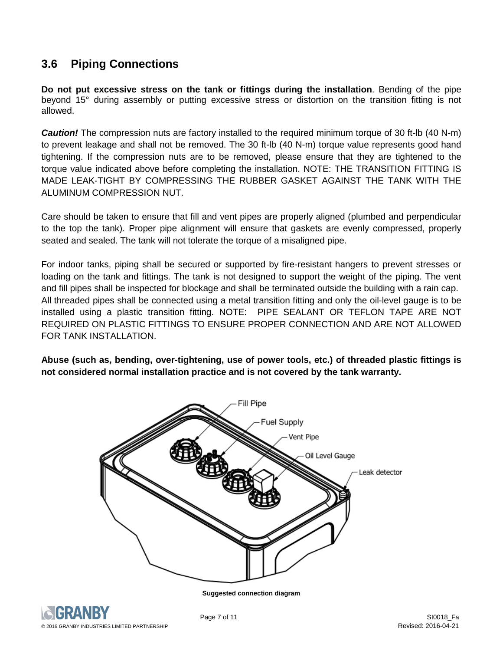## **3.6 Piping Connections**

**Do not put excessive stress on the tank or fittings during the installation**. Bending of the pipe beyond 15° during assembly or putting excessive stress or distortion on the transition fitting is not allowed.

**Caution!** The compression nuts are factory installed to the required minimum torque of 30 ft-lb (40 N-m) to prevent leakage and shall not be removed. The 30 ft-lb (40 N-m) torque value represents good hand tightening. If the compression nuts are to be removed, please ensure that they are tightened to the torque value indicated above before completing the installation. NOTE: THE TRANSITION FITTING IS MADE LEAK-TIGHT BY COMPRESSING THE RUBBER GASKET AGAINST THE TANK WITH THE ALUMINUM COMPRESSION NUT.

Care should be taken to ensure that fill and vent pipes are properly aligned (plumbed and perpendicular to the top the tank). Proper pipe alignment will ensure that gaskets are evenly compressed, properly seated and sealed. The tank will not tolerate the torque of a misaligned pipe.

For indoor tanks, piping shall be secured or supported by fire-resistant hangers to prevent stresses or loading on the tank and fittings. The tank is not designed to support the weight of the piping. The vent and fill pipes shall be inspected for blockage and shall be terminated outside the building with a rain cap. All threaded pipes shall be connected using a metal transition fitting and only the oil-level gauge is to be installed using a plastic transition fitting. NOTE: PIPE SEALANT OR TEFLON TAPE ARE NOT REQUIRED ON PLASTIC FITTINGS TO ENSURE PROPER CONNECTION AND ARE NOT ALLOWED FOR TANK INSTALLATION.

**Abuse (such as, bending, over-tightening, use of power tools, etc.) of threaded plastic fittings is not considered normal installation practice and is not covered by the tank warranty.** 



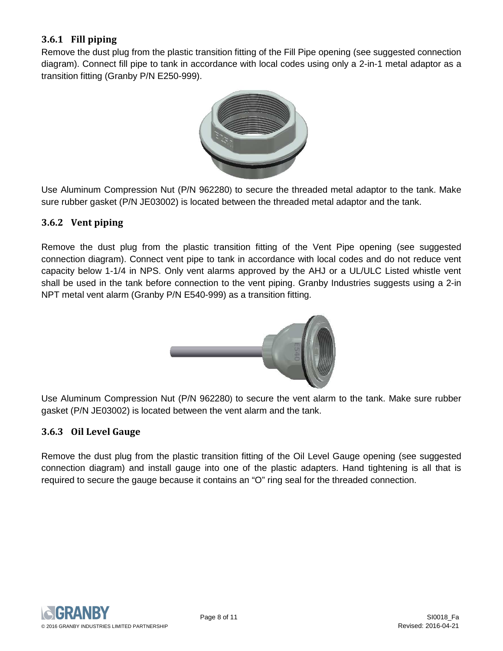#### **3.6.1 Fill piping**

Remove the dust plug from the plastic transition fitting of the Fill Pipe opening (see suggested connection diagram). Connect fill pipe to tank in accordance with local codes using only a 2-in-1 metal adaptor as a transition fitting (Granby P/N E250-999).



Use Aluminum Compression Nut (P/N 962280) to secure the threaded metal adaptor to the tank. Make sure rubber gasket (P/N JE03002) is located between the threaded metal adaptor and the tank.

#### **3.6.2 Vent piping**

Remove the dust plug from the plastic transition fitting of the Vent Pipe opening (see suggested connection diagram). Connect vent pipe to tank in accordance with local codes and do not reduce vent capacity below 1-1/4 in NPS. Only vent alarms approved by the AHJ or a UL/ULC Listed whistle vent shall be used in the tank before connection to the vent piping. Granby Industries suggests using a 2-in NPT metal vent alarm (Granby P/N E540-999) as a transition fitting.



Use Aluminum Compression Nut (P/N 962280) to secure the vent alarm to the tank. Make sure rubber gasket (P/N JE03002) is located between the vent alarm and the tank.

#### **3.6.3 Oil Level Gauge**

Remove the dust plug from the plastic transition fitting of the Oil Level Gauge opening (see suggested connection diagram) and install gauge into one of the plastic adapters. Hand tightening is all that is required to secure the gauge because it contains an "O" ring seal for the threaded connection.

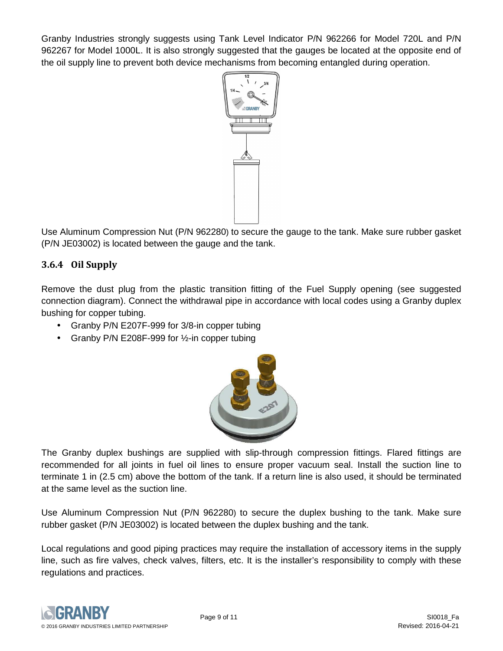Granby Industries strongly suggests using Tank Level Indicator P/N 962266 for Model 720L and P/N 962267 for Model 1000L. It is also strongly suggested that the gauges be located at the opposite end of the oil supply line to prevent both device mechanisms from becoming entangled during operation.



Use Aluminum Compression Nut (P/N 962280) to secure the gauge to the tank. Make sure rubber gasket (P/N JE03002) is located between the gauge and the tank.

#### **3.6.4 Oil Supply**

Remove the dust plug from the plastic transition fitting of the Fuel Supply opening (see suggested connection diagram). Connect the withdrawal pipe in accordance with local codes using a Granby duplex bushing for copper tubing.

- Granby P/N E207F-999 for 3/8-in copper tubing
- Granby P/N E208F-999 for 1/2-in copper tubing



The Granby duplex bushings are supplied with slip-through compression fittings. Flared fittings are recommended for all joints in fuel oil lines to ensure proper vacuum seal. Install the suction line to terminate 1 in (2.5 cm) above the bottom of the tank. If a return line is also used, it should be terminated at the same level as the suction line.

Use Aluminum Compression Nut (P/N 962280) to secure the duplex bushing to the tank. Make sure rubber gasket (P/N JE03002) is located between the duplex bushing and the tank.

Local regulations and good piping practices may require the installation of accessory items in the supply line, such as fire valves, check valves, filters, etc. It is the installer's responsibility to comply with these regulations and practices.

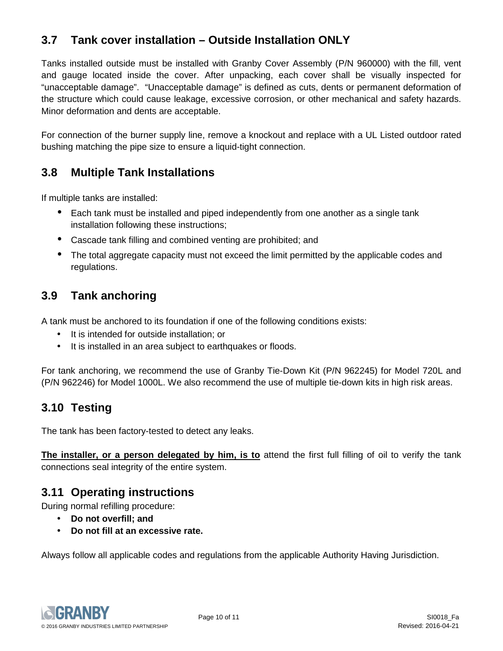## **3.7 Tank cover installation – Outside Installation ONLY**

Tanks installed outside must be installed with Granby Cover Assembly (P/N 960000) with the fill, vent and gauge located inside the cover. After unpacking, each cover shall be visually inspected for "unacceptable damage". "Unacceptable damage" is defined as cuts, dents or permanent deformation of the structure which could cause leakage, excessive corrosion, or other mechanical and safety hazards. Minor deformation and dents are acceptable.

For connection of the burner supply line, remove a knockout and replace with a UL Listed outdoor rated bushing matching the pipe size to ensure a liquid-tight connection.

## **3.8 Multiple Tank Installations**

If multiple tanks are installed:

- Each tank must be installed and piped independently from one another as a single tank installation following these instructions;
- Cascade tank filling and combined venting are prohibited; and
- The total aggregate capacity must not exceed the limit permitted by the applicable codes and regulations.

## **3.9 Tank anchoring**

A tank must be anchored to its foundation if one of the following conditions exists:

- It is intended for outside installation; or
- It is installed in an area subject to earthquakes or floods.

For tank anchoring, we recommend the use of Granby Tie-Down Kit (P/N 962245) for Model 720L and (P/N 962246) for Model 1000L. We also recommend the use of multiple tie-down kits in high risk areas.

## **3.10 Testing**

The tank has been factory-tested to detect any leaks.

**The installer, or a person delegated by him, is to** attend the first full filling of oil to verify the tank connections seal integrity of the entire system.

#### **3.11 Operating instructions**

During normal refilling procedure:

- **Do not overfill; and**
- **Do not fill at an excessive rate.**

Always follow all applicable codes and regulations from the applicable Authority Having Jurisdiction.